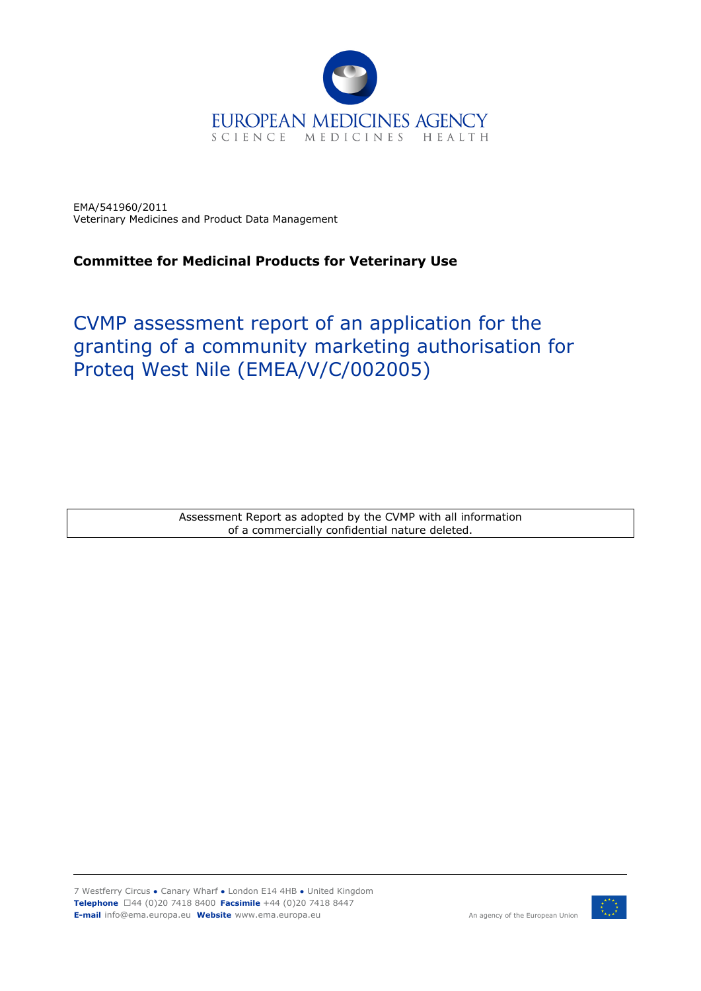

EMA/541960/2011 Veterinary Medicines and Product Data Management

# **Committee for Medicinal Products for Veterinary Use**

# CVMP assessment report of an application for the granting of a community marketing authorisation for Proteq West Nile (EMEA/V/C/002005)

Assessment Report as adopted by the CVMP with all information of a commercially confidential nature deleted.



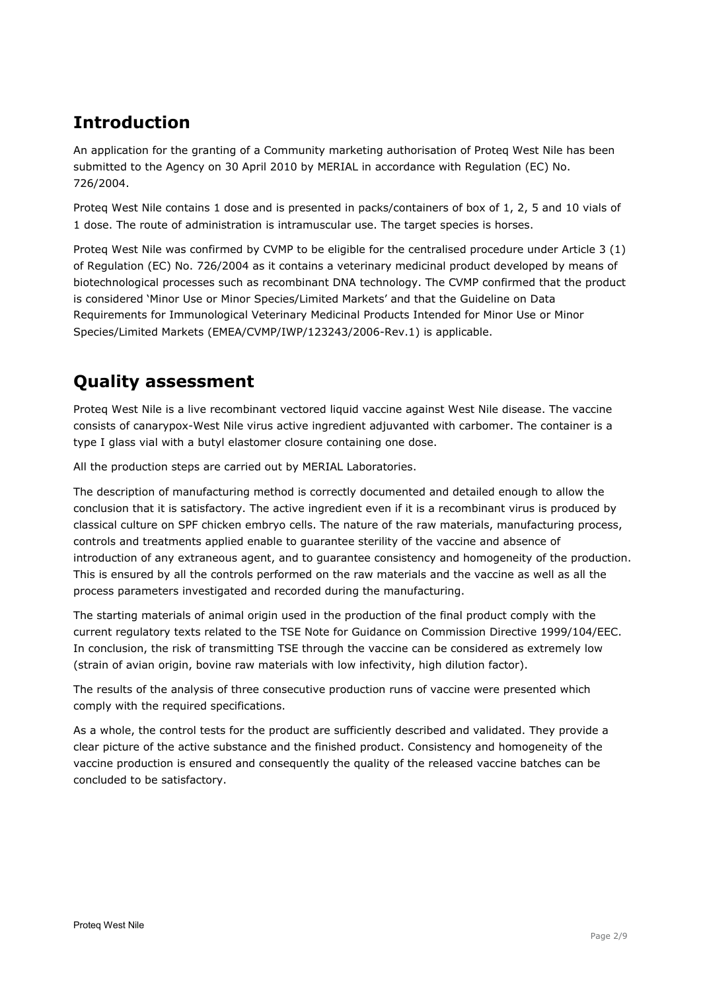# **Introduction**

An application for the granting of a Community marketing authorisation of Proteq West Nile has been submitted to the Agency on 30 April 2010 by MERIAL in accordance with Regulation (EC) No. 726/2004.

Proteq West Nile contains 1 dose and is presented in packs/containers of box of 1, 2, 5 and 10 vials of 1 dose. The route of administration is intramuscular use. The target species is horses.

Proteq West Nile was confirmed by CVMP to be eligible for the centralised procedure under Article 3 (1) of Regulation (EC) No. 726/2004 as it contains a veterinary medicinal product developed by means of biotechnological processes such as recombinant DNA technology. The CVMP confirmed that the product is considered 'Minor Use or Minor Species/Limited Markets' and that the Guideline on Data Requirements for Immunological Veterinary Medicinal Products Intended for Minor Use or Minor Species/Limited Markets (EMEA/CVMP/IWP/123243/2006-Rev.1) is applicable.

# **Quality assessment**

Proteq West Nile is a live recombinant vectored liquid vaccine against West Nile disease. The vaccine consists of canarypox-West Nile virus active ingredient adjuvanted with carbomer. The container is a type I glass vial with a butyl elastomer closure containing one dose.

All the production steps are carried out by MERIAL Laboratories.

The description of manufacturing method is correctly documented and detailed enough to allow the conclusion that it is satisfactory. The active ingredient even if it is a recombinant virus is produced by classical culture on SPF chicken embryo cells. The nature of the raw materials, manufacturing process, controls and treatments applied enable to guarantee sterility of the vaccine and absence of introduction of any extraneous agent, and to guarantee consistency and homogeneity of the production. This is ensured by all the controls performed on the raw materials and the vaccine as well as all the process parameters investigated and recorded during the manufacturing.

The starting materials of animal origin used in the production of the final product comply with the current regulatory texts related to the TSE Note for Guidance on Commission Directive 1999/104/EEC. In conclusion, the risk of transmitting TSE through the vaccine can be considered as extremely low (strain of avian origin, bovine raw materials with low infectivity, high dilution factor).

The results of the analysis of three consecutive production runs of vaccine were presented which comply with the required specifications.

As a whole, the control tests for the product are sufficiently described and validated. They provide a clear picture of the active substance and the finished product. Consistency and homogeneity of the vaccine production is ensured and consequently the quality of the released vaccine batches can be concluded to be satisfactory.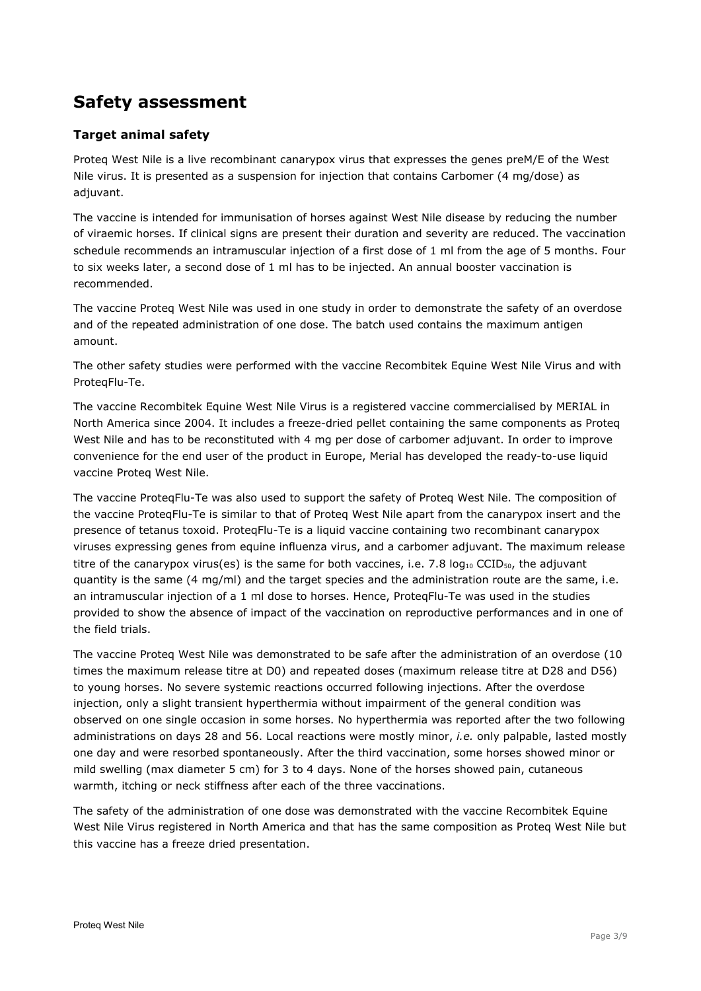# **Safety assessment**

# **Target animal safety**

Proteq West Nile is a live recombinant canarypox virus that expresses the genes preM/E of the West Nile virus. It is presented as a suspension for injection that contains Carbomer (4 mg/dose) as adjuvant.

The vaccine is intended for immunisation of horses against West Nile disease by reducing the number of viraemic horses. If clinical signs are present their duration and severity are reduced. The vaccination schedule recommends an intramuscular injection of a first dose of 1 ml from the age of 5 months. Four to six weeks later, a second dose of 1 ml has to be injected. An annual booster vaccination is recommended.

The vaccine Proteq West Nile was used in one study in order to demonstrate the safety of an overdose and of the repeated administration of one dose. The batch used contains the maximum antigen amount.

The other safety studies were performed with the vaccine Recombitek Equine West Nile Virus and with ProteqFlu-Te.

The vaccine Recombitek Equine West Nile Virus is a registered vaccine commercialised by MERIAL in North America since 2004. It includes a freeze-dried pellet containing the same components as Proteq West Nile and has to be reconstituted with 4 mg per dose of carbomer adjuvant. In order to improve convenience for the end user of the product in Europe, Merial has developed the ready-to-use liquid vaccine Proteq West Nile.

The vaccine ProteqFlu-Te was also used to support the safety of Proteq West Nile. The composition of the vaccine ProteqFlu-Te is similar to that of Proteq West Nile apart from the canarypox insert and the presence of tetanus toxoid. ProteqFlu-Te is a liquid vaccine containing two recombinant canarypox viruses expressing genes from equine influenza virus, and a carbomer adjuvant. The maximum release titre of the canarypox virus(es) is the same for both vaccines, i.e. 7.8  $log_{10}$  CCID<sub>50</sub>, the adjuvant quantity is the same (4 mg/ml) and the target species and the administration route are the same, i.e. an intramuscular injection of a 1 ml dose to horses. Hence, ProteqFlu-Te was used in the studies provided to show the absence of impact of the vaccination on reproductive performances and in one of the field trials.

The vaccine Proteq West Nile was demonstrated to be safe after the administration of an overdose (10 times the maximum release titre at D0) and repeated doses (maximum release titre at D28 and D56) to young horses. No severe systemic reactions occurred following injections. After the overdose injection, only a slight transient hyperthermia without impairment of the general condition was observed on one single occasion in some horses. No hyperthermia was reported after the two following administrations on days 28 and 56. Local reactions were mostly minor, *i.e.* only palpable, lasted mostly one day and were resorbed spontaneously. After the third vaccination, some horses showed minor or mild swelling (max diameter 5 cm) for 3 to 4 days. None of the horses showed pain, cutaneous warmth, itching or neck stiffness after each of the three vaccinations.

The safety of the administration of one dose was demonstrated with the vaccine Recombitek Equine West Nile Virus registered in North America and that has the same composition as Proteq West Nile but this vaccine has a freeze dried presentation.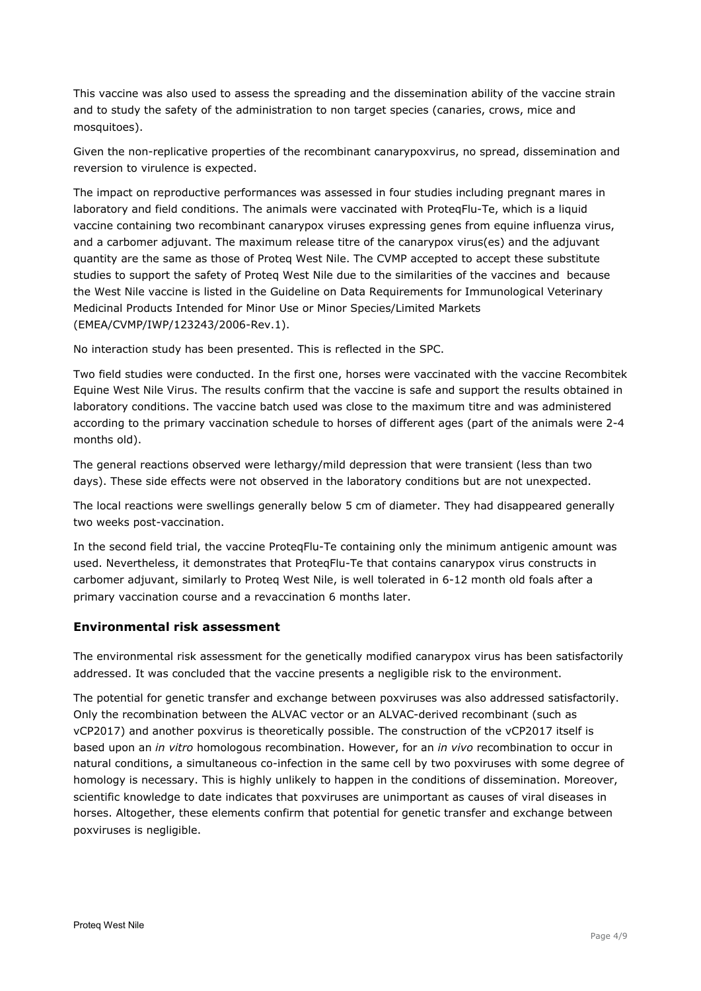This vaccine was also used to assess the spreading and the dissemination ability of the vaccine strain and to study the safety of the administration to non target species (canaries, crows, mice and mosquitoes).

Given the non-replicative properties of the recombinant canarypoxvirus, no spread, dissemination and reversion to virulence is expected.

The impact on reproductive performances was assessed in four studies including pregnant mares in laboratory and field conditions. The animals were vaccinated with ProteqFlu-Te, which is a liquid vaccine containing two recombinant canarypox viruses expressing genes from equine influenza virus, and a carbomer adjuvant. The maximum release titre of the canarypox virus(es) and the adjuvant quantity are the same as those of Proteq West Nile. The CVMP accepted to accept these substitute studies to support the safety of Proteq West Nile due to the similarities of the vaccines and because the West Nile vaccine is listed in the Guideline on Data Requirements for Immunological Veterinary Medicinal Products Intended for Minor Use or Minor Species/Limited Markets (EMEA/CVMP/IWP/123243/2006-Rev.1).

No interaction study has been presented. This is reflected in the SPC.

Two field studies were conducted. In the first one, horses were vaccinated with the vaccine Recombitek Equine West Nile Virus. The results confirm that the vaccine is safe and support the results obtained in laboratory conditions. The vaccine batch used was close to the maximum titre and was administered according to the primary vaccination schedule to horses of different ages (part of the animals were 2-4 months old).

The general reactions observed were lethargy/mild depression that were transient (less than two days). These side effects were not observed in the laboratory conditions but are not unexpected.

The local reactions were swellings generally below 5 cm of diameter. They had disappeared generally two weeks post-vaccination.

In the second field trial, the vaccine ProteqFlu-Te containing only the minimum antigenic amount was used. Nevertheless, it demonstrates that ProteqFlu-Te that contains canarypox virus constructs in carbomer adjuvant, similarly to Proteq West Nile, is well tolerated in 6-12 month old foals after a primary vaccination course and a revaccination 6 months later.

## **Environmental risk assessment**

The environmental risk assessment for the genetically modified canarypox virus has been satisfactorily addressed. It was concluded that the vaccine presents a negligible risk to the environment.

The potential for genetic transfer and exchange between poxviruses was also addressed satisfactorily. Only the recombination between the ALVAC vector or an ALVAC-derived recombinant (such as vCP2017) and another poxvirus is theoretically possible. The construction of the vCP2017 itself is based upon an *in vitro* homologous recombination. However, for an *in vivo* recombination to occur in natural conditions, a simultaneous co-infection in the same cell by two poxviruses with some degree of homology is necessary. This is highly unlikely to happen in the conditions of dissemination. Moreover, scientific knowledge to date indicates that poxviruses are unimportant as causes of viral diseases in horses. Altogether, these elements confirm that potential for genetic transfer and exchange between poxviruses is negligible.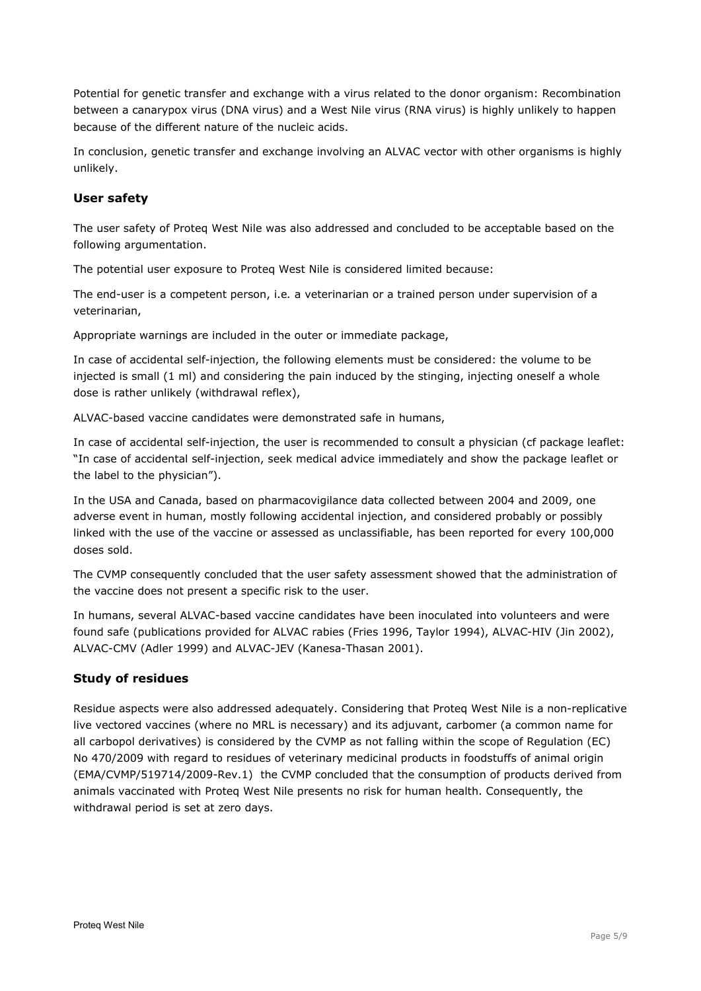Potential for genetic transfer and exchange with a virus related to the donor organism: Recombination between a canarypox virus (DNA virus) and a West Nile virus (RNA virus) is highly unlikely to happen because of the different nature of the nucleic acids.

In conclusion, genetic transfer and exchange involving an ALVAC vector with other organisms is highly unlikely.

# **User safety**

The user safety of Proteq West Nile was also addressed and concluded to be acceptable based on the following argumentation.

The potential user exposure to Proteq West Nile is considered limited because:

The end-user is a competent person, i.e*.* a veterinarian or a trained person under supervision of a veterinarian,

Appropriate warnings are included in the outer or immediate package,

In case of accidental self-injection, the following elements must be considered: the volume to be injected is small (1 ml) and considering the pain induced by the stinging, injecting oneself a whole dose is rather unlikely (withdrawal reflex),

ALVAC-based vaccine candidates were demonstrated safe in humans,

In case of accidental self-injection, the user is recommended to consult a physician (cf package leaflet: "In case of accidental self-injection, seek medical advice immediately and show the package leaflet or the label to the physician").

In the USA and Canada, based on pharmacovigilance data collected between 2004 and 2009, one adverse event in human, mostly following accidental injection, and considered probably or possibly linked with the use of the vaccine or assessed as unclassifiable, has been reported for every 100,000 doses sold.

The CVMP consequently concluded that the user safety assessment showed that the administration of the vaccine does not present a specific risk to the user.

In humans, several ALVAC-based vaccine candidates have been inoculated into volunteers and were found safe (publications provided for ALVAC rabies (Fries 1996, Taylor 1994), ALVAC-HIV (Jin 2002), ALVAC-CMV (Adler 1999) and ALVAC-JEV (Kanesa-Thasan 2001).

## **Study of residues**

Residue aspects were also addressed adequately. Considering that Proteq West Nile is a non-replicative live vectored vaccines (where no MRL is necessary) and its adjuvant, carbomer (a common name for all carbopol derivatives) is considered by the CVMP as not falling within the scope of Regulation (EC) No 470/2009 with regard to residues of veterinary medicinal products in foodstuffs of animal origin (EMA/CVMP/519714/2009-Rev.1) the CVMP concluded that the consumption of products derived from animals vaccinated with Proteq West Nile presents no risk for human health. Consequently, the withdrawal period is set at zero days.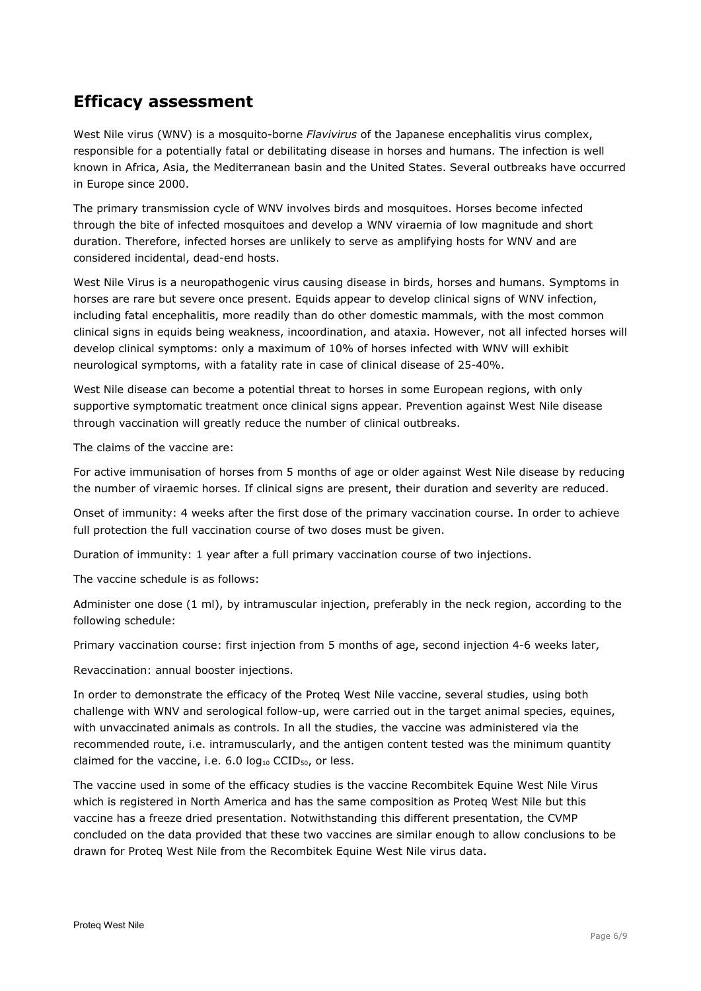# **Efficacy assessment**

West Nile virus (WNV) is a mosquito-borne *Flavivirus* of the Japanese encephalitis virus complex, responsible for a potentially fatal or debilitating disease in horses and humans. The infection is well known in Africa, Asia, the Mediterranean basin and the United States. Several outbreaks have occurred in Europe since 2000.

The primary transmission cycle of WNV involves birds and mosquitoes. Horses become infected through the bite of infected mosquitoes and develop a WNV viraemia of low magnitude and short duration. Therefore, infected horses are unlikely to serve as amplifying hosts for WNV and are considered incidental, dead-end hosts.

West Nile Virus is a neuropathogenic virus causing disease in birds, horses and humans. Symptoms in horses are rare but severe once present. Equids appear to develop clinical signs of WNV infection, including fatal encephalitis, more readily than do other domestic mammals, with the most common clinical signs in equids being weakness, incoordination, and ataxia. However, not all infected horses will develop clinical symptoms: only a maximum of 10% of horses infected with WNV will exhibit neurological symptoms, with a fatality rate in case of clinical disease of 25-40%.

West Nile disease can become a potential threat to horses in some European regions, with only supportive symptomatic treatment once clinical signs appear. Prevention against West Nile disease through vaccination will greatly reduce the number of clinical outbreaks.

The claims of the vaccine are:

For active immunisation of horses from 5 months of age or older against West Nile disease by reducing the number of viraemic horses. If clinical signs are present, their duration and severity are reduced.

Onset of immunity: 4 weeks after the first dose of the primary vaccination course. In order to achieve full protection the full vaccination course of two doses must be given.

Duration of immunity: 1 year after a full primary vaccination course of two injections.

The vaccine schedule is as follows:

Administer one dose (1 ml), by intramuscular injection, preferably in the neck region, according to the following schedule:

Primary vaccination course: first injection from 5 months of age, second injection 4-6 weeks later,

Revaccination: annual booster injections.

In order to demonstrate the efficacy of the Proteq West Nile vaccine, several studies, using both challenge with WNV and serological follow-up, were carried out in the target animal species, equines, with unvaccinated animals as controls. In all the studies, the vaccine was administered via the recommended route, i.e. intramuscularly, and the antigen content tested was the minimum quantity claimed for the vaccine, i.e.  $6.0 \log_{10}$  CCID<sub>50</sub>, or less.

The vaccine used in some of the efficacy studies is the vaccine Recombitek Equine West Nile Virus which is registered in North America and has the same composition as Proteq West Nile but this vaccine has a freeze dried presentation. Notwithstanding this different presentation, the CVMP concluded on the data provided that these two vaccines are similar enough to allow conclusions to be drawn for Proteq West Nile from the Recombitek Equine West Nile virus data.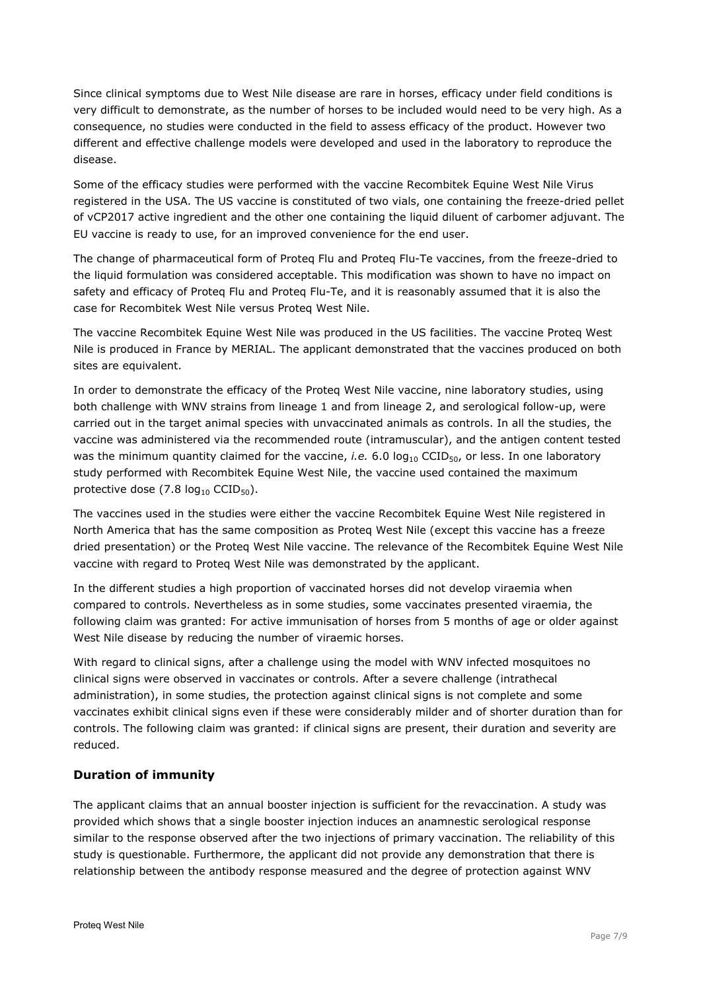Since clinical symptoms due to West Nile disease are rare in horses, efficacy under field conditions is very difficult to demonstrate, as the number of horses to be included would need to be very high. As a consequence, no studies were conducted in the field to assess efficacy of the product. However two different and effective challenge models were developed and used in the laboratory to reproduce the disease.

Some of the efficacy studies were performed with the vaccine Recombitek Equine West Nile Virus registered in the USA. The US vaccine is constituted of two vials, one containing the freeze-dried pellet of vCP2017 active ingredient and the other one containing the liquid diluent of carbomer adjuvant. The EU vaccine is ready to use, for an improved convenience for the end user.

The change of pharmaceutical form of Proteq Flu and Proteq Flu-Te vaccines, from the freeze-dried to the liquid formulation was considered acceptable. This modification was shown to have no impact on safety and efficacy of Proteq Flu and Proteq Flu-Te, and it is reasonably assumed that it is also the case for Recombitek West Nile versus Proteq West Nile.

The vaccine Recombitek Equine West Nile was produced in the US facilities. The vaccine Proteq West Nile is produced in France by MERIAL. The applicant demonstrated that the vaccines produced on both sites are equivalent.

In order to demonstrate the efficacy of the Proteq West Nile vaccine, nine laboratory studies, using both challenge with WNV strains from lineage 1 and from lineage 2, and serological follow-up, were carried out in the target animal species with unvaccinated animals as controls. In all the studies, the vaccine was administered via the recommended route (intramuscular), and the antigen content tested was the minimum quantity claimed for the vaccine, *i.e.* 6.0 log<sub>10</sub> CCID<sub>50</sub>, or less. In one laboratory study performed with Recombitek Equine West Nile, the vaccine used contained the maximum protective dose  $(7.8 \log_{10} CCID_{50})$ .

The vaccines used in the studies were either the vaccine Recombitek Equine West Nile registered in North America that has the same composition as Proteq West Nile (except this vaccine has a freeze dried presentation) or the Proteq West Nile vaccine. The relevance of the Recombitek Equine West Nile vaccine with regard to Proteq West Nile was demonstrated by the applicant.

In the different studies a high proportion of vaccinated horses did not develop viraemia when compared to controls. Nevertheless as in some studies, some vaccinates presented viraemia, the following claim was granted: For active immunisation of horses from 5 months of age or older against West Nile disease by reducing the number of viraemic horses.

With regard to clinical signs, after a challenge using the model with WNV infected mosquitoes no clinical signs were observed in vaccinates or controls. After a severe challenge (intrathecal administration), in some studies, the protection against clinical signs is not complete and some vaccinates exhibit clinical signs even if these were considerably milder and of shorter duration than for controls. The following claim was granted: if clinical signs are present, their duration and severity are reduced.

# **Duration of immunity**

The applicant claims that an annual booster injection is sufficient for the revaccination. A study was provided which shows that a single booster injection induces an anamnestic serological response similar to the response observed after the two injections of primary vaccination. The reliability of this study is questionable. Furthermore, the applicant did not provide any demonstration that there is relationship between the antibody response measured and the degree of protection against WNV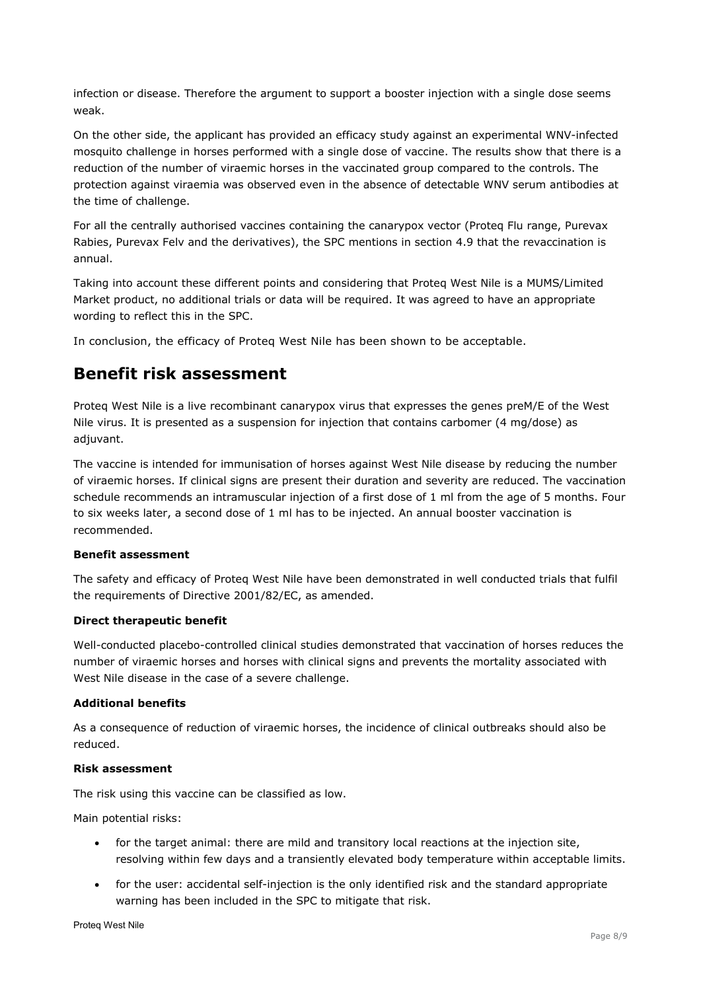infection or disease. Therefore the argument to support a booster injection with a single dose seems weak.

On the other side, the applicant has provided an efficacy study against an experimental WNV-infected mosquito challenge in horses performed with a single dose of vaccine. The results show that there is a reduction of the number of viraemic horses in the vaccinated group compared to the controls. The protection against viraemia was observed even in the absence of detectable WNV serum antibodies at the time of challenge.

For all the centrally authorised vaccines containing the canarypox vector (Proteq Flu range, Purevax Rabies, Purevax Felv and the derivatives), the SPC mentions in section 4.9 that the revaccination is annual.

Taking into account these different points and considering that Proteq West Nile is a MUMS/Limited Market product, no additional trials or data will be required. It was agreed to have an appropriate wording to reflect this in the SPC.

In conclusion, the efficacy of Proteq West Nile has been shown to be acceptable.

# **Benefit risk assessment**

Proteq West Nile is a live recombinant canarypox virus that expresses the genes preM/E of the West Nile virus. It is presented as a suspension for injection that contains carbomer (4 mg/dose) as adjuvant.

The vaccine is intended for immunisation of horses against West Nile disease by reducing the number of viraemic horses. If clinical signs are present their duration and severity are reduced. The vaccination schedule recommends an intramuscular injection of a first dose of 1 ml from the age of 5 months. Four to six weeks later, a second dose of 1 ml has to be injected. An annual booster vaccination is recommended.

## **Benefit assessment**

The safety and efficacy of Proteq West Nile have been demonstrated in well conducted trials that fulfil the requirements of Directive 2001/82/EC, as amended.

#### **Direct therapeutic benefit**

Well-conducted placebo-controlled clinical studies demonstrated that vaccination of horses reduces the number of viraemic horses and horses with clinical signs and prevents the mortality associated with West Nile disease in the case of a severe challenge.

#### **Additional benefits**

As a consequence of reduction of viraemic horses, the incidence of clinical outbreaks should also be reduced.

#### **Risk assessment**

The risk using this vaccine can be classified as low.

Main potential risks:

- for the target animal: there are mild and transitory local reactions at the injection site, resolving within few days and a transiently elevated body temperature within acceptable limits.
- for the user: accidental self-injection is the only identified risk and the standard appropriate warning has been included in the SPC to mitigate that risk.